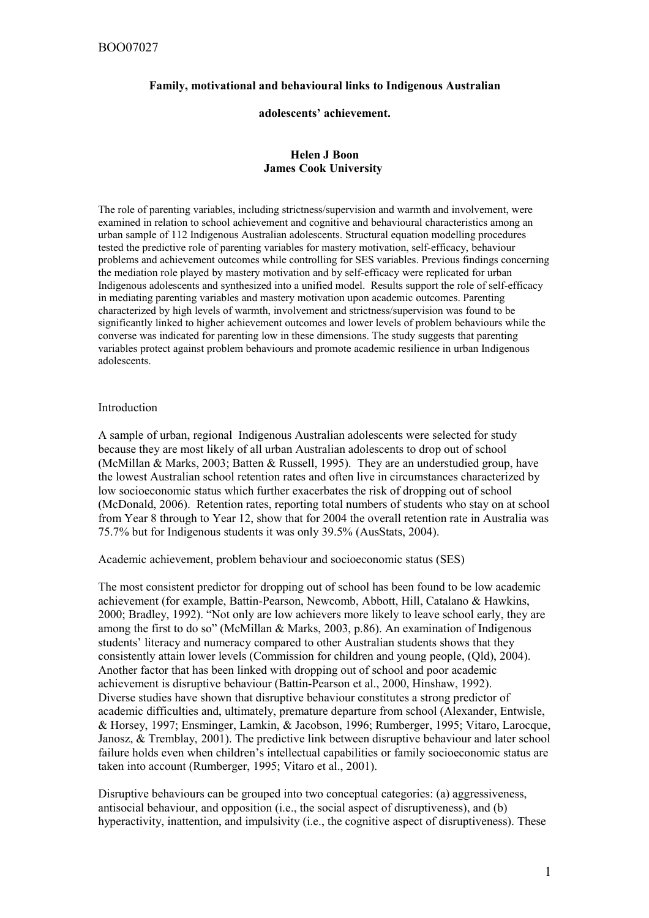## **Family, motivational and behavioural links to Indigenous Australian**

#### **adolescents' achievement.**

## **Helen J Boon James Cook University**

The role of parenting variables, including strictness/supervision and warmth and involvement, were examined in relation to school achievement and cognitive and behavioural characteristics among an urban sample of 112 Indigenous Australian adolescents. Structural equation modelling procedures tested the predictive role of parenting variables for mastery motivation, self-efficacy, behaviour problems and achievement outcomes while controlling for SES variables. Previous findings concerning the mediation role played by mastery motivation and by self-efficacy were replicated for urban Indigenous adolescents and synthesized into a unified model. Results support the role of self-efficacy in mediating parenting variables and mastery motivation upon academic outcomes. Parenting characterized by high levels of warmth, involvement and strictness/supervision was found to be significantly linked to higher achievement outcomes and lower levels of problem behaviours while the converse was indicated for parenting low in these dimensions. The study suggests that parenting variables protect against problem behaviours and promote academic resilience in urban Indigenous adolescents.

#### Introduction

A sample of urban, regional Indigenous Australian adolescents were selected for study because they are most likely of all urban Australian adolescents to drop out of school (McMillan & Marks, 2003; Batten & Russell, 1995). They are an understudied group, have the lowest Australian school retention rates and often live in circumstances characterized by low socioeconomic status which further exacerbates the risk of dropping out of school (McDonald, 2006). Retention rates, reporting total numbers of students who stay on at school from Year 8 through to Year 12, show that for 2004 the overall retention rate in Australia was 75.7% but for Indigenous students it was only 39.5% (AusStats, 2004).

Academic achievement, problem behaviour and socioeconomic status (SES)

The most consistent predictor for dropping out of school has been found to be low academic achievement (for example, Battin-Pearson, Newcomb, Abbott, Hill, Catalano & Hawkins, 2000; Bradley, 1992). "Not only are low achievers more likely to leave school early, they are among the first to do so" (McMillan & Marks, 2003, p.86). An examination of Indigenous students' literacy and numeracy compared to other Australian students shows that they consistently attain lower levels (Commission for children and young people, (Qld), 2004). Another factor that has been linked with dropping out of school and poor academic achievement is disruptive behaviour (Battin-Pearson et al., 2000, Hinshaw, 1992). Diverse studies have shown that disruptive behaviour constitutes a strong predictor of academic difficulties and, ultimately, premature departure from school (Alexander, Entwisle, & Horsey, 1997; Ensminger, Lamkin, & Jacobson, 1996; Rumberger, 1995; Vitaro, Larocque, Janosz, & Tremblay, 2001). The predictive link between disruptive behaviour and later school failure holds even when children's intellectual capabilities or family socioeconomic status are taken into account (Rumberger, 1995; Vitaro et al., 2001).

Disruptive behaviours can be grouped into two conceptual categories: (a) aggressiveness, antisocial behaviour, and opposition (i.e., the social aspect of disruptiveness), and (b) hyperactivity, inattention, and impulsivity (i.e., the cognitive aspect of disruptiveness). These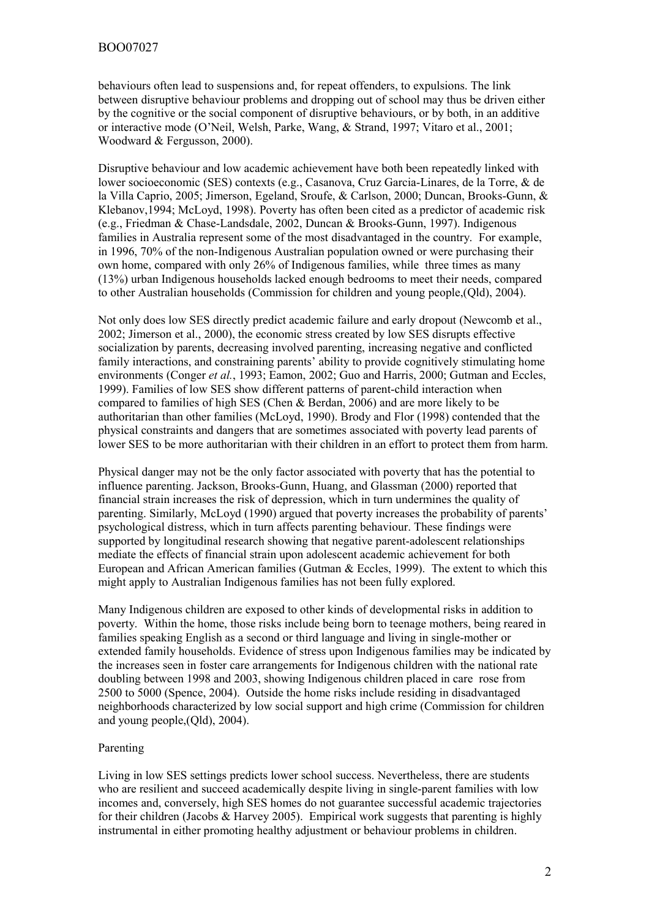behaviours often lead to suspensions and, for repeat offenders, to expulsions. The link between disruptive behaviour problems and dropping out of school may thus be driven either by the cognitive or the social component of disruptive behaviours, or by both, in an additive or interactive mode (O'Neil, Welsh, Parke, Wang, & Strand, 1997; Vitaro et al., 2001; Woodward & Fergusson, 2000).

Disruptive behaviour and low academic achievement have both been repeatedly linked with lower socioeconomic (SES) contexts (e.g., Casanova, Cruz Garcia-Linares, de la Torre, & de la Villa Caprio, 2005; Jimerson, Egeland, Sroufe, & Carlson, 2000; Duncan, Brooks-Gunn, & Klebanov,1994; McLoyd, 1998). Poverty has often been cited as a predictor of academic risk (e.g., Friedman & Chase-Landsdale, 2002, Duncan & Brooks-Gunn, 1997). Indigenous families in Australia represent some of the most disadvantaged in the country. For example, in 1996, 70% of the non-Indigenous Australian population owned or were purchasing their own home, compared with only 26% of Indigenous families, while three times as many (13%) urban Indigenous households lacked enough bedrooms to meet their needs, compared to other Australian households (Commission for children and young people,(Qld), 2004).

Not only does low SES directly predict academic failure and early dropout (Newcomb et al., 2002; Jimerson et al., 2000), the economic stress created by low SES disrupts effective socialization by parents, decreasing involved parenting, increasing negative and conflicted family interactions, and constraining parents' ability to provide cognitively stimulating home environments (Conger *et al.*, 1993; Eamon, 2002; Guo and Harris, 2000; Gutman and Eccles, 1999). Families of low SES show different patterns of parent-child interaction when compared to families of high SES (Chen & Berdan, 2006) and are more likely to be authoritarian than other families (McLoyd, 1990). Brody and Flor (1998) contended that the physical constraints and dangers that are sometimes associated with poverty lead parents of lower SES to be more authoritarian with their children in an effort to protect them from harm.

Physical danger may not be the only factor associated with poverty that has the potential to influence parenting. Jackson, Brooks-Gunn, Huang, and Glassman (2000) reported that financial strain increases the risk of depression, which in turn undermines the quality of parenting. Similarly, McLoyd (1990) argued that poverty increases the probability of parents' psychological distress, which in turn affects parenting behaviour. These findings were supported by longitudinal research showing that negative parent-adolescent relationships mediate the effects of financial strain upon adolescent academic achievement for both European and African American families (Gutman & Eccles, 1999). The extent to which this might apply to Australian Indigenous families has not been fully explored.

Many Indigenous children are exposed to other kinds of developmental risks in addition to poverty. Within the home, those risks include being born to teenage mothers, being reared in families speaking English as a second or third language and living in single-mother or extended family households. Evidence of stress upon Indigenous families may be indicated by the increases seen in foster care arrangements for Indigenous children with the national rate doubling between 1998 and 2003, showing Indigenous children placed in care rose from 2500 to 5000 (Spence, 2004). Outside the home risks include residing in disadvantaged neighborhoods characterized by low social support and high crime (Commission for children and young people,(Qld), 2004).

## Parenting

Living in low SES settings predicts lower school success. Nevertheless, there are students who are resilient and succeed academically despite living in single-parent families with low incomes and, conversely, high SES homes do not guarantee successful academic trajectories for their children (Jacobs  $&$  Harvey 2005). Empirical work suggests that parenting is highly instrumental in either promoting healthy adjustment or behaviour problems in children.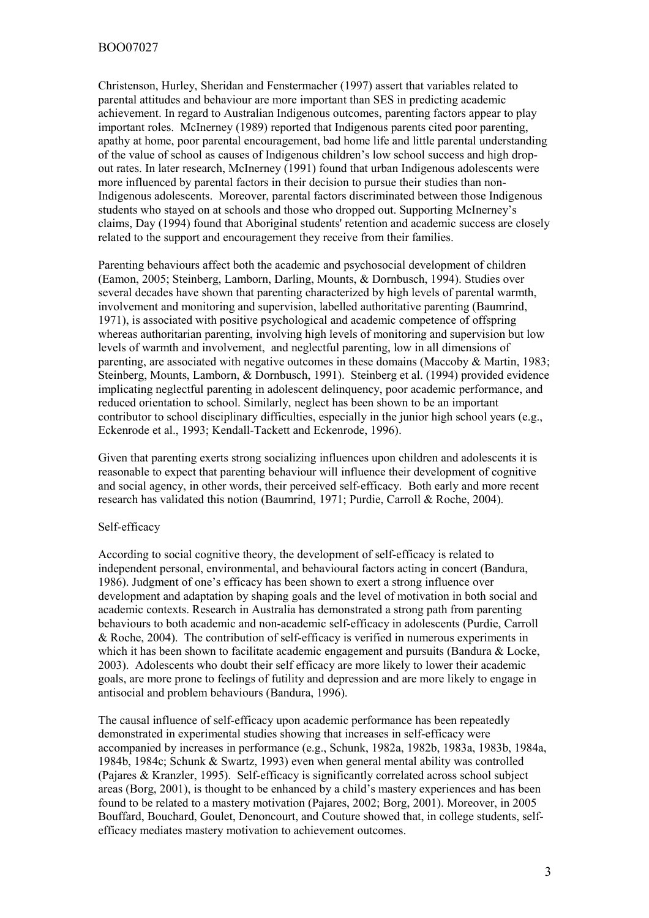Christenson, Hurley, Sheridan and Fenstermacher (1997) assert that variables related to parental attitudes and behaviour are more important than SES in predicting academic achievement. In regard to Australian Indigenous outcomes, parenting factors appear to play important roles. McInerney (1989) reported that Indigenous parents cited poor parenting, apathy at home, poor parental encouragement, bad home life and little parental understanding of the value of school as causes of Indigenous children's low school success and high dropout rates. In later research, McInerney (1991) found that urban Indigenous adolescents were more influenced by parental factors in their decision to pursue their studies than non-Indigenous adolescents. Moreover, parental factors discriminated between those Indigenous students who stayed on at schools and those who dropped out. Supporting McInerney's claims, Day (1994) found that Aboriginal students' retention and academic success are closely related to the support and encouragement they receive from their families.

Parenting behaviours affect both the academic and psychosocial development of children (Eamon, 2005; Steinberg, Lamborn, Darling, Mounts, & Dornbusch, 1994). Studies over several decades have shown that parenting characterized by high levels of parental warmth, involvement and monitoring and supervision, labelled authoritative parenting (Baumrind, 1971), is associated with positive psychological and academic competence of offspring whereas authoritarian parenting, involving high levels of monitoring and supervision but low levels of warmth and involvement, and neglectful parenting, low in all dimensions of parenting, are associated with negative outcomes in these domains (Maccoby & Martin, 1983; Steinberg, Mounts, Lamborn, & Dornbusch, 1991). Steinberg et al. (1994) provided evidence implicating neglectful parenting in adolescent delinquency, poor academic performance, and reduced orientation to school. Similarly, neglect has been shown to be an important contributor to school disciplinary difficulties, especially in the junior high school years (e.g., Eckenrode et al., 1993; Kendall-Tackett and Eckenrode, 1996).

Given that parenting exerts strong socializing influences upon children and adolescents it is reasonable to expect that parenting behaviour will influence their development of cognitive and social agency, in other words, their perceived self-efficacy. Both early and more recent research has validated this notion (Baumrind, 1971; Purdie, Carroll & Roche, 2004).

## Self-efficacy

According to social cognitive theory, the development of self-efficacy is related to independent personal, environmental, and behavioural factors acting in concert (Bandura, 1986). Judgment of one's efficacy has been shown to exert a strong influence over development and adaptation by shaping goals and the level of motivation in both social and academic contexts. Research in Australia has demonstrated a strong path from parenting behaviours to both academic and non-academic self-efficacy in adolescents (Purdie, Carroll & Roche, 2004). The contribution of self-efficacy is verified in numerous experiments in which it has been shown to facilitate academic engagement and pursuits (Bandura & Locke, 2003). Adolescents who doubt their self efficacy are more likely to lower their academic goals, are more prone to feelings of futility and depression and are more likely to engage in antisocial and problem behaviours (Bandura, 1996).

The causal influence of self-efficacy upon academic performance has been repeatedly demonstrated in experimental studies showing that increases in self-efficacy were accompanied by increases in performance (e.g., Schunk, 1982a, 1982b, 1983a, 1983b, 1984a, 1984b, 1984c; Schunk & Swartz, 1993) even when general mental ability was controlled (Pajares & Kranzler, 1995). Self-efficacy is significantly correlated across school subject areas (Borg, 2001), is thought to be enhanced by a child's mastery experiences and has been found to be related to a mastery motivation (Pajares, 2002; Borg, 2001). Moreover, in 2005 Bouffard, Bouchard, Goulet, Denoncourt, and Couture showed that, in college students, selfefficacy mediates mastery motivation to achievement outcomes.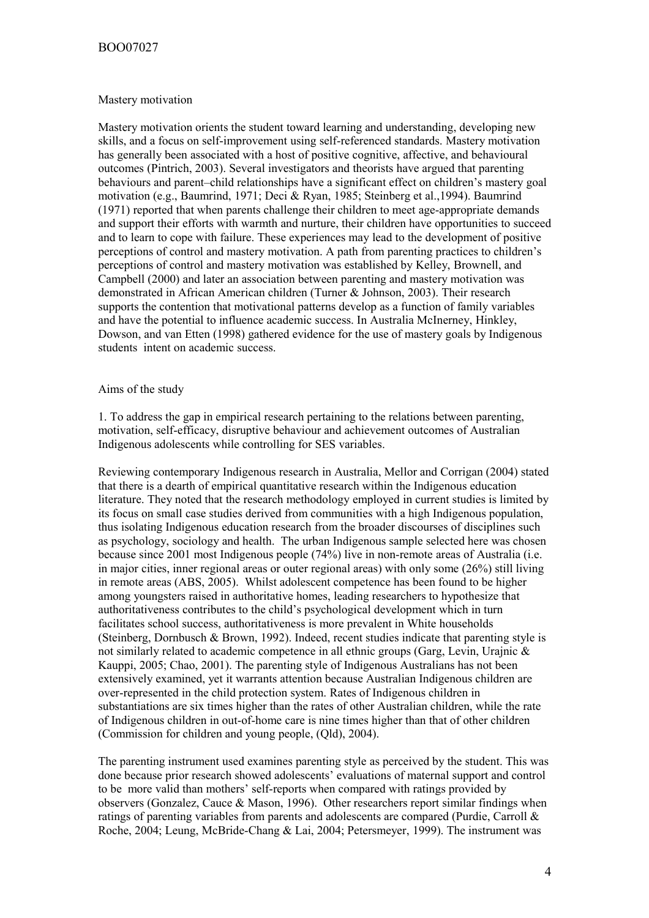## Mastery motivation

Mastery motivation orients the student toward learning and understanding, developing new skills, and a focus on self-improvement using self-referenced standards. Mastery motivation has generally been associated with a host of positive cognitive, affective, and behavioural outcomes (Pintrich, 2003). Several investigators and theorists have argued that parenting behaviours and parent–child relationships have a significant effect on children's mastery goal motivation (e.g., Baumrind, 1971; Deci & Ryan, 1985; Steinberg et al.,1994). Baumrind (1971) reported that when parents challenge their children to meet age-appropriate demands and support their efforts with warmth and nurture, their children have opportunities to succeed and to learn to cope with failure. These experiences may lead to the development of positive perceptions of control and mastery motivation. A path from parenting practices to children's perceptions of control and mastery motivation was established by Kelley, Brownell, and Campbell (2000) and later an association between parenting and mastery motivation was demonstrated in African American children (Turner & Johnson, 2003). Their research supports the contention that motivational patterns develop as a function of family variables and have the potential to influence academic success. In Australia McInerney, Hinkley, Dowson, and van Etten (1998) gathered evidence for the use of mastery goals by Indigenous students intent on academic success.

## Aims of the study

1. To address the gap in empirical research pertaining to the relations between parenting, motivation, self-efficacy, disruptive behaviour and achievement outcomes of Australian Indigenous adolescents while controlling for SES variables.

Reviewing contemporary Indigenous research in Australia, Mellor and Corrigan (2004) stated that there is a dearth of empirical quantitative research within the Indigenous education literature. They noted that the research methodology employed in current studies is limited by its focus on small case studies derived from communities with a high Indigenous population, thus isolating Indigenous education research from the broader discourses of disciplines such as psychology, sociology and health. The urban Indigenous sample selected here was chosen because since 2001 most Indigenous people (74%) live in non-remote areas of Australia (i.e. in major cities, inner regional areas or outer regional areas) with only some (26%) still living in remote areas (ABS, 2005). Whilst adolescent competence has been found to be higher among youngsters raised in authoritative homes, leading researchers to hypothesize that authoritativeness contributes to the child's psychological development which in turn facilitates school success, authoritativeness is more prevalent in White households (Steinberg, Dornbusch & Brown, 1992). Indeed, recent studies indicate that parenting style is not similarly related to academic competence in all ethnic groups (Garg, Levin, Urajnic & Kauppi, 2005; Chao, 2001). The parenting style of Indigenous Australians has not been extensively examined, yet it warrants attention because Australian Indigenous children are over-represented in the child protection system. Rates of Indigenous children in substantiations are six times higher than the rates of other Australian children, while the rate of Indigenous children in out-of-home care is nine times higher than that of other children (Commission for children and young people, (Qld), 2004).

The parenting instrument used examines parenting style as perceived by the student. This was done because prior research showed adolescents' evaluations of maternal support and control to be more valid than mothers' self-reports when compared with ratings provided by observers (Gonzalez, Cauce & Mason, 1996). Other researchers report similar findings when ratings of parenting variables from parents and adolescents are compared (Purdie, Carroll & Roche, 2004; Leung, McBride-Chang & Lai, 2004; Petersmeyer, 1999). The instrument was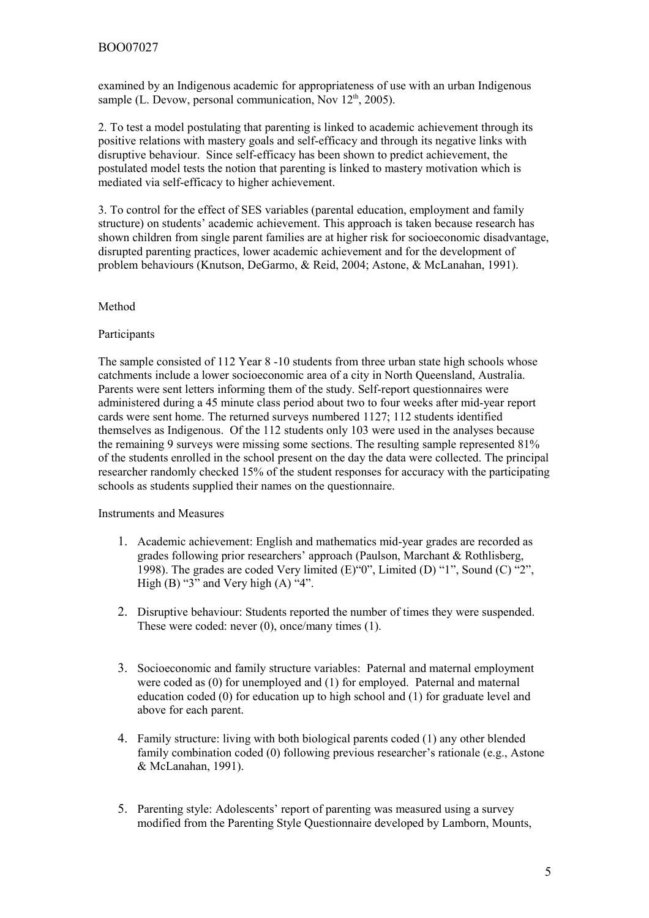examined by an Indigenous academic for appropriateness of use with an urban Indigenous sample (L. Devow, personal communication, Nov  $12<sup>th</sup>$ , 2005).

2. To test a model postulating that parenting is linked to academic achievement through its positive relations with mastery goals and self-efficacy and through its negative links with disruptive behaviour. Since self-efficacy has been shown to predict achievement, the postulated model tests the notion that parenting is linked to mastery motivation which is mediated via self-efficacy to higher achievement.

3. To control for the effect of SES variables (parental education, employment and family structure) on students' academic achievement. This approach is taken because research has shown children from single parent families are at higher risk for socioeconomic disadvantage, disrupted parenting practices, lower academic achievement and for the development of problem behaviours (Knutson, DeGarmo, & Reid, 2004; Astone, & McLanahan, 1991).

# Method

# **Participants**

The sample consisted of 112 Year 8 -10 students from three urban state high schools whose catchments include a lower socioeconomic area of a city in North Queensland, Australia. Parents were sent letters informing them of the study. Self-report questionnaires were administered during a 45 minute class period about two to four weeks after mid-year report cards were sent home. The returned surveys numbered 1127; 112 students identified themselves as Indigenous. Of the 112 students only 103 were used in the analyses because the remaining 9 surveys were missing some sections. The resulting sample represented 81% of the students enrolled in the school present on the day the data were collected. The principal researcher randomly checked 15% of the student responses for accuracy with the participating schools as students supplied their names on the questionnaire.

# Instruments and Measures

- 1. Academic achievement: English and mathematics mid-year grades are recorded as grades following prior researchers' approach (Paulson, Marchant & Rothlisberg, 1998). The grades are coded Very limited (E)"0", Limited (D) "1", Sound (C) "2", High  $(B)$  "3" and Very high  $(A)$  "4".
- 2. Disruptive behaviour: Students reported the number of times they were suspended. These were coded: never (0), once/many times (1).
- 3. Socioeconomic and family structure variables: Paternal and maternal employment were coded as (0) for unemployed and (1) for employed. Paternal and maternal education coded (0) for education up to high school and (1) for graduate level and above for each parent.
- 4. Family structure: living with both biological parents coded (1) any other blended family combination coded (0) following previous researcher's rationale (e.g., Astone & McLanahan, 1991).
- 5. Parenting style: Adolescents' report of parenting was measured using a survey modified from the Parenting Style Questionnaire developed by Lamborn, Mounts,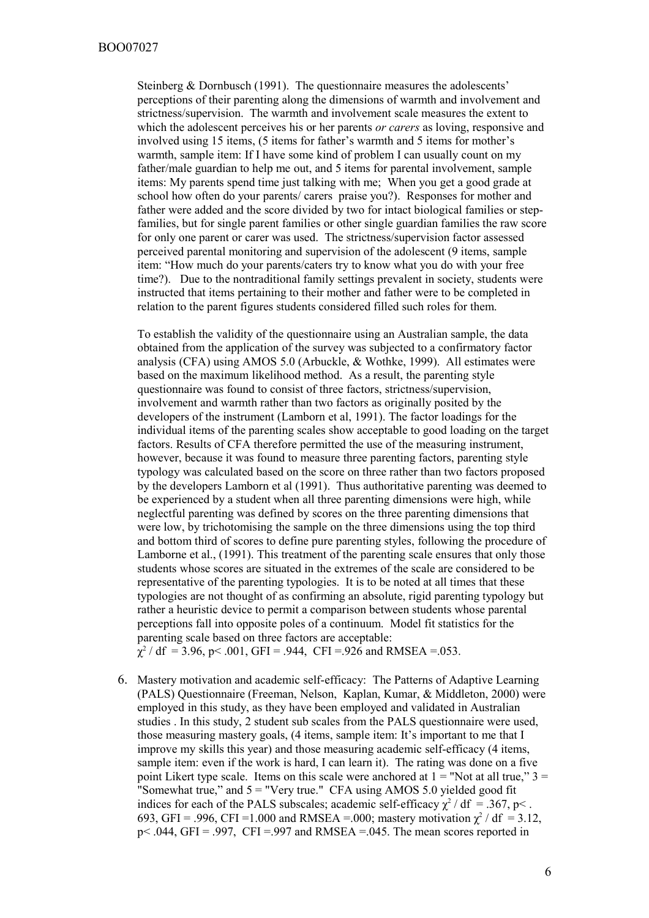Steinberg & Dornbusch (1991). The questionnaire measures the adolescents' perceptions of their parenting along the dimensions of warmth and involvement and strictness/supervision. The warmth and involvement scale measures the extent to which the adolescent perceives his or her parents *or carers* as loving, responsive and involved using 15 items, (5 items for father's warmth and 5 items for mother's warmth, sample item: If I have some kind of problem I can usually count on my father/male guardian to help me out, and 5 items for parental involvement, sample items: My parents spend time just talking with me; When you get a good grade at school how often do your parents/ carers praise you?). Responses for mother and father were added and the score divided by two for intact biological families or stepfamilies, but for single parent families or other single guardian families the raw score for only one parent or carer was used. The strictness/supervision factor assessed perceived parental monitoring and supervision of the adolescent (9 items, sample item: "How much do your parents/caters try to know what you do with your free time?). Due to the nontraditional family settings prevalent in society, students were instructed that items pertaining to their mother and father were to be completed in relation to the parent figures students considered filled such roles for them.

To establish the validity of the questionnaire using an Australian sample, the data obtained from the application of the survey was subjected to a confirmatory factor analysis (CFA) using AMOS 5.0 (Arbuckle, & Wothke, 1999). All estimates were based on the maximum likelihood method. As a result, the parenting style questionnaire was found to consist of three factors, strictness/supervision, involvement and warmth rather than two factors as originally posited by the developers of the instrument (Lamborn et al, 1991). The factor loadings for the individual items of the parenting scales show acceptable to good loading on the target factors. Results of CFA therefore permitted the use of the measuring instrument, however, because it was found to measure three parenting factors, parenting style typology was calculated based on the score on three rather than two factors proposed by the developers Lamborn et al (1991). Thus authoritative parenting was deemed to be experienced by a student when all three parenting dimensions were high, while neglectful parenting was defined by scores on the three parenting dimensions that were low, by trichotomising the sample on the three dimensions using the top third and bottom third of scores to define pure parenting styles, following the procedure of Lamborne et al., (1991). This treatment of the parenting scale ensures that only those students whose scores are situated in the extremes of the scale are considered to be representative of the parenting typologies. It is to be noted at all times that these typologies are not thought of as confirming an absolute, rigid parenting typology but rather a heuristic device to permit a comparison between students whose parental perceptions fall into opposite poles of a continuum. Model fit statistics for the parenting scale based on three factors are acceptable:

- $\chi^2$  / df = 3.96, p < .001, GFI = .944, CFI = .926 and RMSEA = .053.
- 6. Mastery motivation and academic self-efficacy: The Patterns of Adaptive Learning (PALS) Questionnaire (Freeman, Nelson, Kaplan, Kumar, & Middleton, 2000) were employed in this study, as they have been employed and validated in Australian studies . In this study, 2 student sub scales from the PALS questionnaire were used, those measuring mastery goals, (4 items, sample item: It's important to me that I improve my skills this year) and those measuring academic self-efficacy (4 items, sample item: even if the work is hard, I can learn it). The rating was done on a five point Likert type scale. Items on this scale were anchored at  $1 =$  "Not at all true,"  $3 =$ "Somewhat true," and 5 = "Very true." CFA using AMOS 5.0 yielded good fit indices for each of the PALS subscales; academic self-efficacy  $\chi^2$  / df = .367, p<. 693, GFI = .996, CFI = 1.000 and RMSEA = .000; mastery motivation  $\chi^2$  / df = 3.12,  $p \le 0.044$ , GFI = .997, CFI = .997 and RMSEA = .045. The mean scores reported in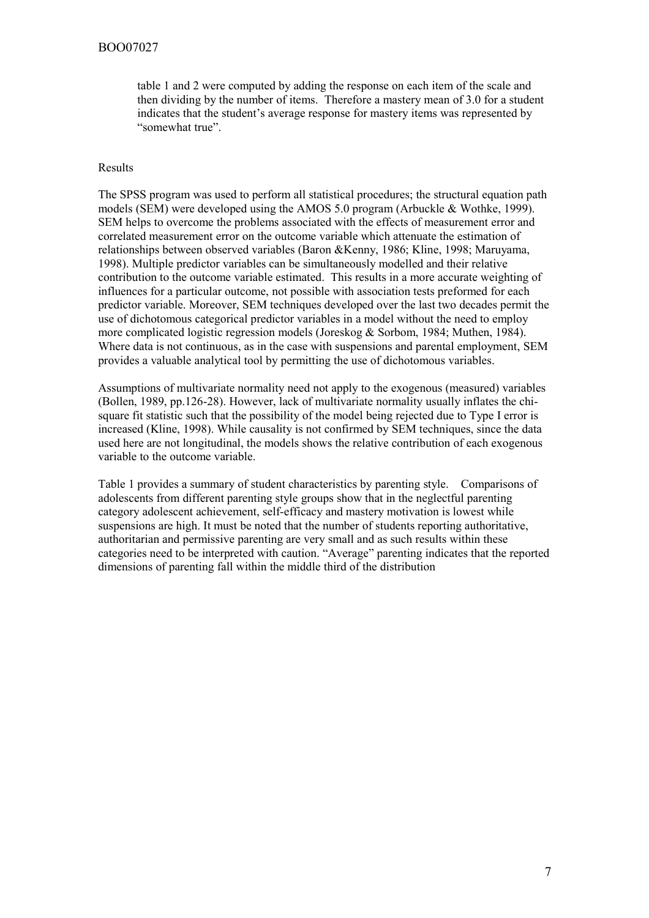# BOO07027

table 1 and 2 were computed by adding the response on each item of the scale and then dividing by the number of items. Therefore a mastery mean of 3.0 for a student indicates that the student's average response for mastery items was represented by "somewhat true".

## Results

The SPSS program was used to perform all statistical procedures; the structural equation path models (SEM) were developed using the AMOS 5.0 program (Arbuckle & Wothke, 1999). SEM helps to overcome the problems associated with the effects of measurement error and correlated measurement error on the outcome variable which attenuate the estimation of relationships between observed variables (Baron &Kenny, 1986; Kline, 1998; Maruyama, 1998). Multiple predictor variables can be simultaneously modelled and their relative contribution to the outcome variable estimated. This results in a more accurate weighting of influences for a particular outcome, not possible with association tests preformed for each predictor variable. Moreover, SEM techniques developed over the last two decades permit the use of dichotomous categorical predictor variables in a model without the need to employ more complicated logistic regression models (Joreskog & Sorbom, 1984; Muthen, 1984). Where data is not continuous, as in the case with suspensions and parental employment, SEM provides a valuable analytical tool by permitting the use of dichotomous variables.

Assumptions of multivariate normality need not apply to the exogenous (measured) variables (Bollen, 1989, pp.126-28). However, lack of multivariate normality usually inflates the chisquare fit statistic such that the possibility of the model being rejected due to Type I error is increased (Kline, 1998). While causality is not confirmed by SEM techniques, since the data used here are not longitudinal, the models shows the relative contribution of each exogenous variable to the outcome variable.

Table 1 provides a summary of student characteristics by parenting style. Comparisons of adolescents from different parenting style groups show that in the neglectful parenting category adolescent achievement, self-efficacy and mastery motivation is lowest while suspensions are high. It must be noted that the number of students reporting authoritative, authoritarian and permissive parenting are very small and as such results within these categories need to be interpreted with caution. "Average" parenting indicates that the reported dimensions of parenting fall within the middle third of the distribution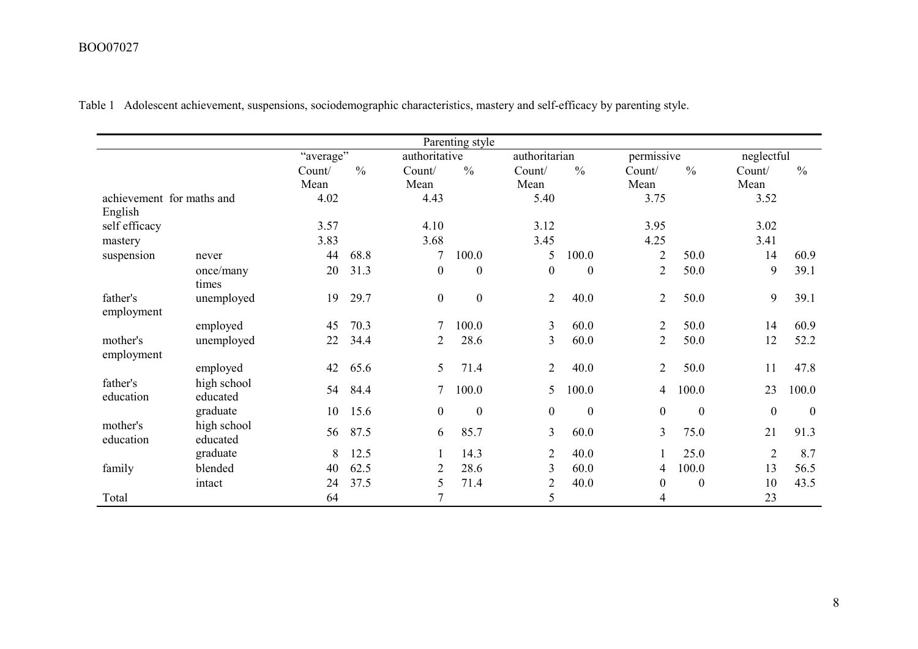# BOO07027

|                           |                         |           |               |                  | Parenting style  |                |                  |                  |                  |                |                  |
|---------------------------|-------------------------|-----------|---------------|------------------|------------------|----------------|------------------|------------------|------------------|----------------|------------------|
|                           |                         | "average" |               | authoritative    |                  | authoritarian  |                  | permissive       |                  | neglectful     |                  |
|                           |                         | Count/    | $\frac{0}{0}$ | Count/           | $\frac{0}{0}$    | Count/         | $\frac{0}{0}$    | Count/           | $\frac{0}{0}$    | Count/         | $\frac{0}{0}$    |
|                           |                         | Mean      |               | Mean             |                  | Mean           |                  | Mean             |                  | Mean           |                  |
| achievement for maths and |                         | 4.02      |               | 4.43             |                  | 5.40           |                  | 3.75             |                  | 3.52           |                  |
| English                   |                         |           |               |                  |                  |                |                  |                  |                  |                |                  |
| self efficacy             |                         | 3.57      |               | 4.10             |                  | 3.12           |                  | 3.95             |                  | 3.02           |                  |
| mastery                   |                         | 3.83      |               | 3.68             |                  | 3.45           |                  | 4.25             |                  | 3.41           |                  |
| suspension                | never                   | 44        | 68.8          | $\overline{7}$   | 100.0            | 5              | 100.0            | $\overline{2}$   | 50.0             | 14             | 60.9             |
|                           | once/many               | 20        | 31.3          | $\boldsymbol{0}$ | $\boldsymbol{0}$ | $\theta$       | $\mathbf{0}$     | $\overline{2}$   | 50.0             | 9              | 39.1             |
|                           | times                   |           |               |                  |                  |                |                  |                  |                  |                |                  |
| father's                  | unemployed              | 19        | 29.7          | $\boldsymbol{0}$ | $\boldsymbol{0}$ | $\overline{2}$ | 40.0             | $\overline{2}$   | 50.0             | 9              | 39.1             |
| employment                |                         |           |               |                  |                  |                |                  |                  |                  |                |                  |
|                           | employed                | 45        | 70.3          | $\overline{7}$   | 100.0            | 3              | 60.0             | $\overline{2}$   | 50.0             | 14             | 60.9             |
| mother's<br>employment    | unemployed              | 22        | 34.4          | 2                | 28.6             | 3              | 60.0             | $\overline{2}$   | 50.0             | 12             | 52.2             |
|                           | employed                | 42        | 65.6          | 5                | 71.4             | 2              | 40.0             | $\overline{2}$   | 50.0             | 11             | 47.8             |
| father's<br>education     | high school<br>educated | 54        | 84.4          | 7                | 100.0            | 5              | 100.0            | 4                | 100.0            | 23             | 100.0            |
|                           | graduate                | 10        | 15.6          | $\boldsymbol{0}$ | $\boldsymbol{0}$ | $\overline{0}$ | $\boldsymbol{0}$ | $\boldsymbol{0}$ | $\boldsymbol{0}$ | $\mathbf{0}$   | $\boldsymbol{0}$ |
| mother's<br>education     | high school<br>educated | 56        | 87.5          | 6                | 85.7             | $\overline{3}$ | 60.0             | 3                | 75.0             | 21             | 91.3             |
|                           | graduate                | 8         | 12.5          | 1                | 14.3             | $\overline{2}$ | 40.0             | 1                | 25.0             | $\overline{2}$ | 8.7              |
| family                    | blended                 | 40        | 62.5          | $\overline{2}$   | 28.6             | 3              | 60.0             | 4                | 100.0            | 13             | 56.5             |
|                           | intact                  | 24        | 37.5          | 5                | 71.4             | $\overline{2}$ | 40.0             | $\boldsymbol{0}$ | $\boldsymbol{0}$ | 10             | 43.5             |
| Total                     |                         | 64        |               | $\overline{7}$   |                  | 5              |                  | 4                |                  | 23             |                  |

Table 1 Adolescent achievement, suspensions, sociodemographic characteristics, mastery and self-efficacy by parenting style.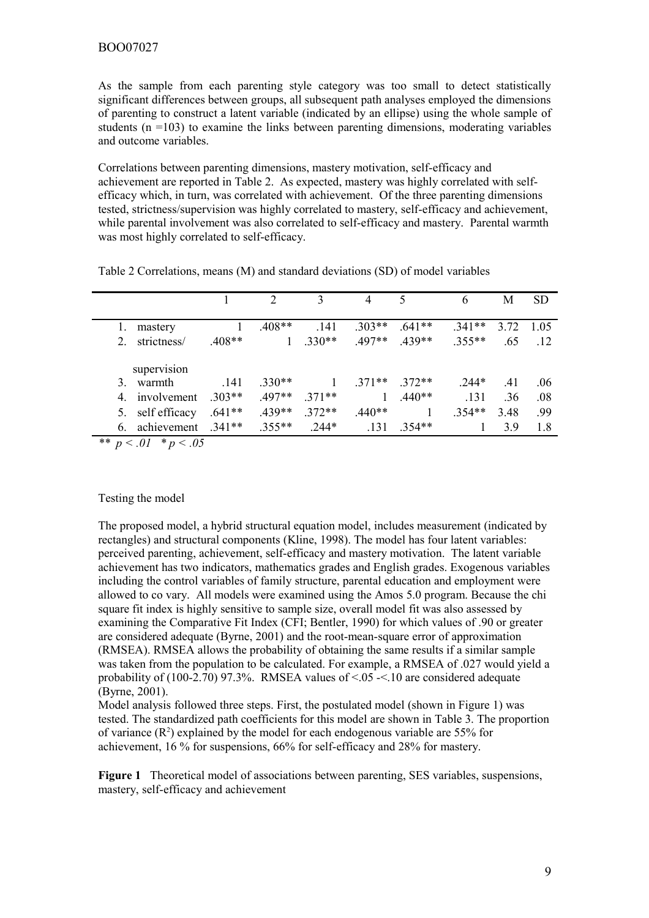As the sample from each parenting style category was too small to detect statistically significant differences between groups, all subsequent path analyses employed the dimensions of parenting to construct a latent variable (indicated by an ellipse) using the whole sample of students  $(n = 103)$  to examine the links between parenting dimensions, moderating variables and outcome variables.

Correlations between parenting dimensions, mastery motivation, self-efficacy and achievement are reported in Table 2. As expected, mastery was highly correlated with selfefficacy which, in turn, was correlated with achievement. Of the three parenting dimensions tested, strictness/supervision was highly correlated to mastery, self-efficacy and achievement, while parental involvement was also correlated to self-efficacy and mastery. Parental warmth was most highly correlated to self-efficacy.

|    |                    |          |              |          | 4            | 5        | 6        | M    | <b>SD</b>  |
|----|--------------------|----------|--------------|----------|--------------|----------|----------|------|------------|
|    | mastery            |          | $.408**$     | .141     | $.303**$     | $.641**$ | $.341**$ | 3.72 | 1 0 5      |
|    | strictness/        | $.408**$ | $\mathbf{1}$ | $.330**$ | $.497**$     | $.439**$ | $.355**$ | .65  | $\cdot$ 12 |
|    | supervision        |          |              |          |              |          |          |      |            |
|    | 3. warmth          | .141     | $.330**$     |          | $.371**$     | $.372**$ | 244*     | .41  | .06        |
|    | 4. involvement     | $.303**$ | $.497**$     | $371**$  | $\mathbf{1}$ | $.440**$ | .131     | .36  | .08        |
| 5. | self efficacy      | $.641**$ | $.439**$     | $.372**$ | $.440**$     |          | $.354**$ | 3.48 | -99        |
| 6. | achievement .341** |          | $.355**$     | $.244*$  | .131         | $.354**$ |          | 39   | 1.8        |
|    |                    |          |              |          |              |          |          |      |            |

Table 2 Correlations, means (M) and standard deviations (SD) of model variables

*\*\* p < .01 \* p < .05*

## Testing the model

The proposed model, a hybrid structural equation model, includes measurement (indicated by rectangles) and structural components (Kline, 1998). The model has four latent variables: perceived parenting, achievement, self-efficacy and mastery motivation. The latent variable achievement has two indicators, mathematics grades and English grades. Exogenous variables including the control variables of family structure, parental education and employment were allowed to co vary. All models were examined using the Amos 5.0 program. Because the chi square fit index is highly sensitive to sample size, overall model fit was also assessed by examining the Comparative Fit Index (CFI; Bentler, 1990) for which values of .90 or greater are considered adequate (Byrne, 2001) and the root-mean-square error of approximation (RMSEA). RMSEA allows the probability of obtaining the same results if a similar sample was taken from the population to be calculated. For example, a RMSEA of .027 would yield a probability of  $(100-2.70)$  97.3%. RMSEA values of  $\le 0.05 - 10$  are considered adequate (Byrne, 2001).

Model analysis followed three steps. First, the postulated model (shown in Figure 1) was tested. The standardized path coefficients for this model are shown in Table 3. The proportion of variance  $(R^2)$  explained by the model for each endogenous variable are 55% for achievement, 16 % for suspensions, 66% for self-efficacy and 28% for mastery.

**Figure 1** Theoretical model of associations between parenting, SES variables, suspensions, mastery, self-efficacy and achievement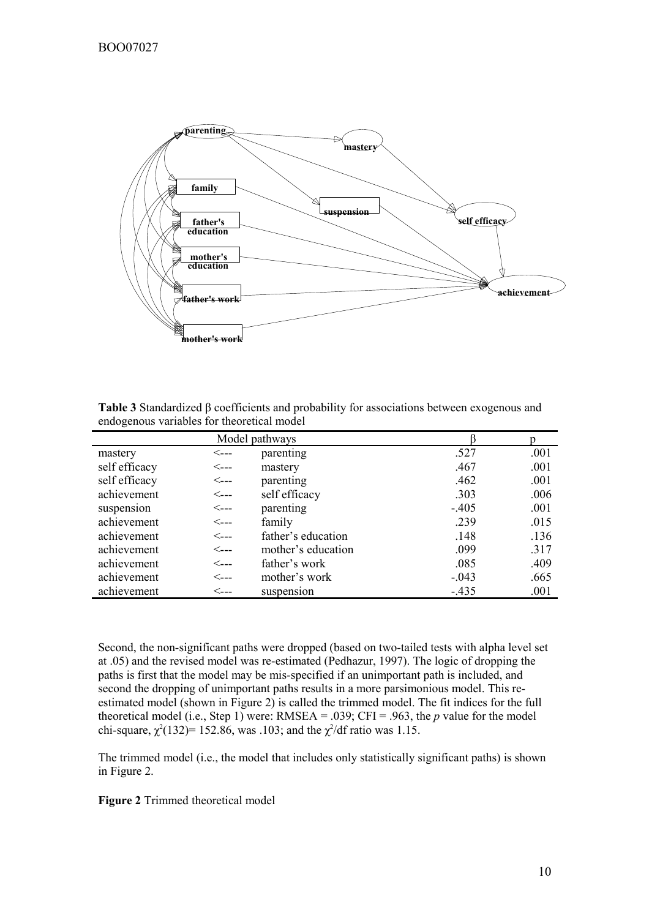

**Table 3** Standardized β coefficients and probability for associations between exogenous and endogenous variables for theoretical model

| Model pathways |                           |                    |         |      |
|----------------|---------------------------|--------------------|---------|------|
| mastery        | <---                      | parenting          | .527    | .001 |
| self efficacy  | $\leftarrow$ ---          | mastery            | .467    | .001 |
| self efficacy  | $\leftarrow$ $\leftarrow$ | parenting          | .462    | .001 |
| achievement    | <----                     | self efficacy      | .303    | .006 |
| suspension     | $\leftarrow$ $\leftarrow$ | parenting          | $-.405$ | .001 |
| achievement    | $\leftarrow$ $\leftarrow$ | family             | .239    | .015 |
| achievement    | $\leftarrow$ $\leftarrow$ | father's education | .148    | .136 |
| achievement    | $\leftarrow$ $\leftarrow$ | mother's education | .099    | .317 |
| achievement    | $\leftarrow$ $\leftarrow$ | father's work      | .085    | .409 |
| achievement    | <----                     | mother's work      | $-.043$ | .665 |
| achievement    | $\lt_{\texttt{---}}$      | suspension         | $-.435$ | .001 |

Second, the non-significant paths were dropped (based on two-tailed tests with alpha level set at .05) and the revised model was re-estimated (Pedhazur, 1997). The logic of dropping the paths is first that the model may be mis-specified if an unimportant path is included, and second the dropping of unimportant paths results in a more parsimonious model. This reestimated model (shown in Figure 2) is called the trimmed model. The fit indices for the full theoretical model (i.e., Step 1) were: RMSEA = .039; CFI = .963, the *p* value for the model chi-square,  $\chi^2(132)$ = 152.86, was .103; and the  $\chi^2$ /df ratio was 1.15.

The trimmed model (i.e., the model that includes only statistically significant paths) is shown in Figure 2.

# **Figure 2** Trimmed theoretical model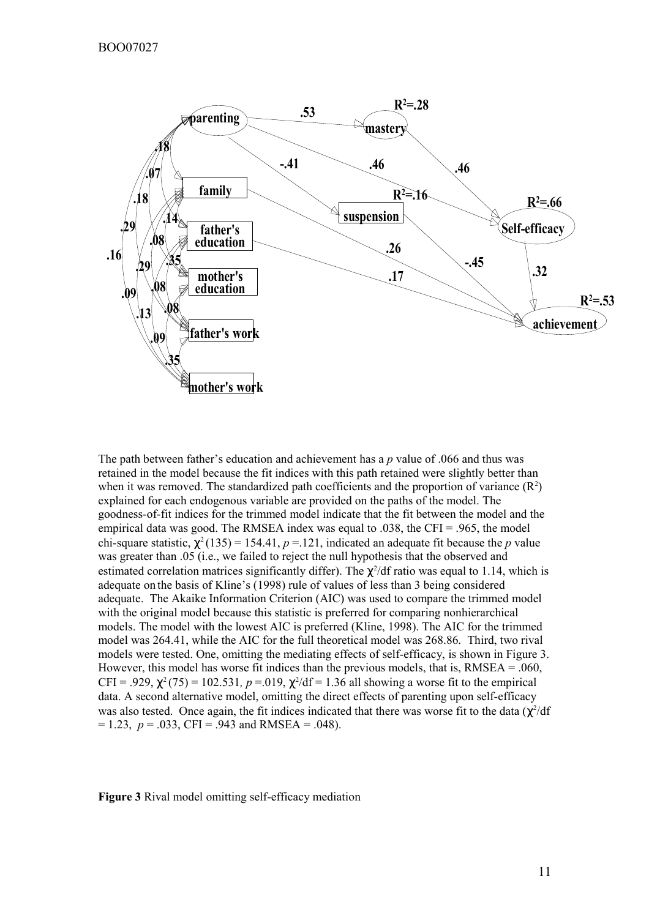

The path between father's education and achievement has a *p* value of .066 and thus was retained in the model because the fit indices with this path retained were slightly better than when it was removed. The standardized path coefficients and the proportion of variance  $(R^2)$ explained for each endogenous variable are provided on the paths of the model. The goodness-of-fit indices for the trimmed model indicate that the fit between the model and the empirical data was good. The RMSEA index was equal to .038, the CFI = .965, the model chi-square statistic,  $\chi^2(135) = 154.41$ ,  $p = 121$ , indicated an adequate fit because the *p* value was greater than .05 (i.e., we failed to reject the null hypothesis that the observed and estimated correlation matrices significantly differ). The  $\chi^2$ /df ratio was equal to 1.14, which is adequate on the basis of Kline's (1998) rule of values of less than 3 being considered adequate. The Akaike Information Criterion (AIC) was used to compare the trimmed model with the original model because this statistic is preferred for comparing nonhierarchical models. The model with the lowest AIC is preferred (Kline, 1998). The AIC for the trimmed model was 264.41, while the AIC for the full theoretical model was 268.86. Third, two rival models were tested. One, omitting the mediating effects of self-efficacy, is shown in Figure 3. However, this model has worse fit indices than the previous models, that is, RMSEA = .060, CFI = .929,  $\chi^2$ (75) = 102.531, p = .019,  $\chi^2$ /df = 1.36 all showing a worse fit to the empirical data. A second alternative model, omitting the direct effects of parenting upon self-efficacy was also tested. Once again, the fit indices indicated that there was worse fit to the data  $(\chi^2/df)$  $= 1.23$ ,  $p = .033$ , CFI = .943 and RMSEA = .048).

**Figure 3** Rival model omitting self-efficacy mediation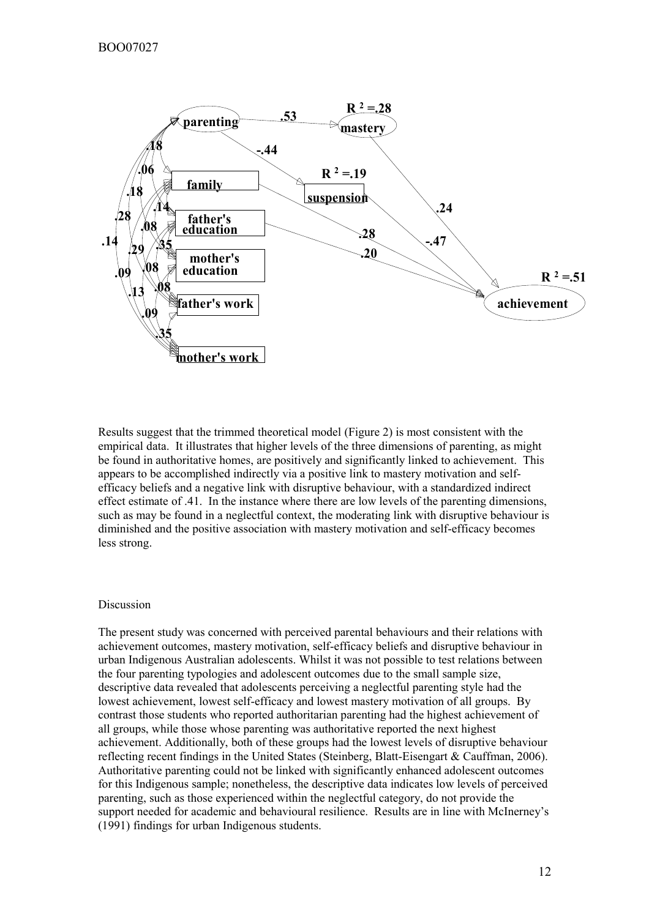

Results suggest that the trimmed theoretical model (Figure 2) is most consistent with the empirical data. It illustrates that higher levels of the three dimensions of parenting, as might be found in authoritative homes, are positively and significantly linked to achievement. This appears to be accomplished indirectly via a positive link to mastery motivation and selfefficacy beliefs and a negative link with disruptive behaviour, with a standardized indirect effect estimate of .41. In the instance where there are low levels of the parenting dimensions, such as may be found in a neglectful context, the moderating link with disruptive behaviour is diminished and the positive association with mastery motivation and self-efficacy becomes less strong.

## Discussion

The present study was concerned with perceived parental behaviours and their relations with achievement outcomes, mastery motivation, self-efficacy beliefs and disruptive behaviour in urban Indigenous Australian adolescents. Whilst it was not possible to test relations between the four parenting typologies and adolescent outcomes due to the small sample size, descriptive data revealed that adolescents perceiving a neglectful parenting style had the lowest achievement, lowest self-efficacy and lowest mastery motivation of all groups. By contrast those students who reported authoritarian parenting had the highest achievement of all groups, while those whose parenting was authoritative reported the next highest achievement. Additionally, both of these groups had the lowest levels of disruptive behaviour reflecting recent findings in the United States (Steinberg, Blatt-Eisengart & Cauffman, 2006). Authoritative parenting could not be linked with significantly enhanced adolescent outcomes for this Indigenous sample; nonetheless, the descriptive data indicates low levels of perceived parenting, such as those experienced within the neglectful category, do not provide the support needed for academic and behavioural resilience. Results are in line with McInerney's (1991) findings for urban Indigenous students.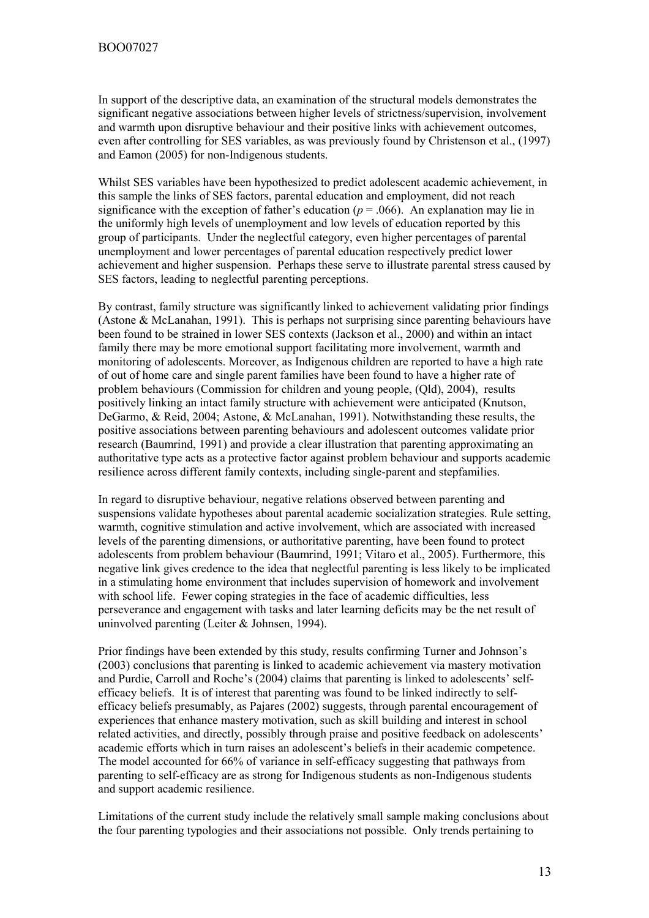In support of the descriptive data, an examination of the structural models demonstrates the significant negative associations between higher levels of strictness/supervision, involvement and warmth upon disruptive behaviour and their positive links with achievement outcomes, even after controlling for SES variables, as was previously found by Christenson et al., (1997) and Eamon (2005) for non-Indigenous students.

Whilst SES variables have been hypothesized to predict adolescent academic achievement, in this sample the links of SES factors, parental education and employment, did not reach significance with the exception of father's education  $(p = .066)$ . An explanation may lie in the uniformly high levels of unemployment and low levels of education reported by this group of participants. Under the neglectful category, even higher percentages of parental unemployment and lower percentages of parental education respectively predict lower achievement and higher suspension. Perhaps these serve to illustrate parental stress caused by SES factors, leading to neglectful parenting perceptions.

By contrast, family structure was significantly linked to achievement validating prior findings (Astone & McLanahan, 1991). This is perhaps not surprising since parenting behaviours have been found to be strained in lower SES contexts (Jackson et al., 2000) and within an intact family there may be more emotional support facilitating more involvement, warmth and monitoring of adolescents. Moreover, as Indigenous children are reported to have a high rate of out of home care and single parent families have been found to have a higher rate of problem behaviours (Commission for children and young people, (Qld), 2004), results positively linking an intact family structure with achievement were anticipated (Knutson, DeGarmo, & Reid, 2004; Astone, & McLanahan, 1991). Notwithstanding these results, the positive associations between parenting behaviours and adolescent outcomes validate prior research (Baumrind, 1991) and provide a clear illustration that parenting approximating an authoritative type acts as a protective factor against problem behaviour and supports academic resilience across different family contexts, including single-parent and stepfamilies.

In regard to disruptive behaviour, negative relations observed between parenting and suspensions validate hypotheses about parental academic socialization strategies. Rule setting, warmth, cognitive stimulation and active involvement, which are associated with increased levels of the parenting dimensions, or authoritative parenting, have been found to protect adolescents from problem behaviour (Baumrind, 1991; Vitaro et al., 2005). Furthermore, this negative link gives credence to the idea that neglectful parenting is less likely to be implicated in a stimulating home environment that includes supervision of homework and involvement with school life. Fewer coping strategies in the face of academic difficulties, less perseverance and engagement with tasks and later learning deficits may be the net result of uninvolved parenting (Leiter & Johnsen, 1994).

Prior findings have been extended by this study, results confirming Turner and Johnson's (2003) conclusions that parenting is linked to academic achievement via mastery motivation and Purdie, Carroll and Roche's (2004) claims that parenting is linked to adolescents' selfefficacy beliefs. It is of interest that parenting was found to be linked indirectly to selfefficacy beliefs presumably, as Pajares (2002) suggests, through parental encouragement of experiences that enhance mastery motivation, such as skill building and interest in school related activities, and directly, possibly through praise and positive feedback on adolescents' academic efforts which in turn raises an adolescent's beliefs in their academic competence. The model accounted for 66% of variance in self-efficacy suggesting that pathways from parenting to self-efficacy are as strong for Indigenous students as non-Indigenous students and support academic resilience.

Limitations of the current study include the relatively small sample making conclusions about the four parenting typologies and their associations not possible. Only trends pertaining to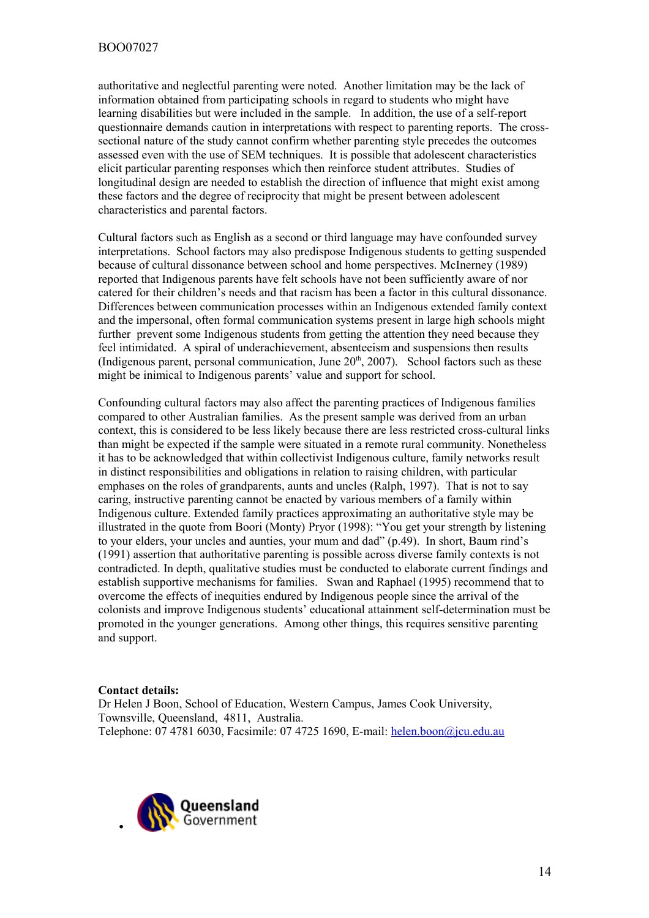authoritative and neglectful parenting were noted. Another limitation may be the lack of information obtained from participating schools in regard to students who might have learning disabilities but were included in the sample. In addition, the use of a self-report questionnaire demands caution in interpretations with respect to parenting reports. The crosssectional nature of the study cannot confirm whether parenting style precedes the outcomes assessed even with the use of SEM techniques. It is possible that adolescent characteristics elicit particular parenting responses which then reinforce student attributes. Studies of longitudinal design are needed to establish the direction of influence that might exist among these factors and the degree of reciprocity that might be present between adolescent characteristics and parental factors.

Cultural factors such as English as a second or third language may have confounded survey interpretations. School factors may also predispose Indigenous students to getting suspended because of cultural dissonance between school and home perspectives. McInerney (1989) reported that Indigenous parents have felt schools have not been sufficiently aware of nor catered for their children's needs and that racism has been a factor in this cultural dissonance. Differences between communication processes within an Indigenous extended family context and the impersonal, often formal communication systems present in large high schools might further prevent some Indigenous students from getting the attention they need because they feel intimidated. A spiral of underachievement, absenteeism and suspensions then results (Indigenous parent, personal communication, June  $20<sup>th</sup>$ , 2007). School factors such as these might be inimical to Indigenous parents' value and support for school.

Confounding cultural factors may also affect the parenting practices of Indigenous families compared to other Australian families. As the present sample was derived from an urban context, this is considered to be less likely because there are less restricted cross-cultural links than might be expected if the sample were situated in a remote rural community. Nonetheless it has to be acknowledged that within collectivist Indigenous culture, family networks result in distinct responsibilities and obligations in relation to raising children, with particular emphases on the roles of grandparents, aunts and uncles (Ralph, 1997). That is not to say caring, instructive parenting cannot be enacted by various members of a family within Indigenous culture. Extended family practices approximating an authoritative style may be illustrated in the quote from Boori (Monty) Pryor (1998): "You get your strength by listening to your elders, your uncles and aunties, your mum and dad" (p.49). In short, Baum rind's (1991) assertion that authoritative parenting is possible across diverse family contexts is not contradicted. In depth, qualitative studies must be conducted to elaborate current findings and establish supportive mechanisms for families. Swan and Raphael (1995) recommend that to overcome the effects of inequities endured by Indigenous people since the arrival of the colonists and improve Indigenous students' educational attainment self-determination must be promoted in the younger generations. Among other things, this requires sensitive parenting and support.

## **Contact details:**

Dr Helen J Boon, School of Education, Western Campus, James Cook University, Townsville, Queensland, 4811, Australia. Telephone: 07 4781 6030, Facsimile: 07 4725 1690, E-mail: [helen.boon@jcu.edu.au](mailto:helen.boon@jcu.edu.au)

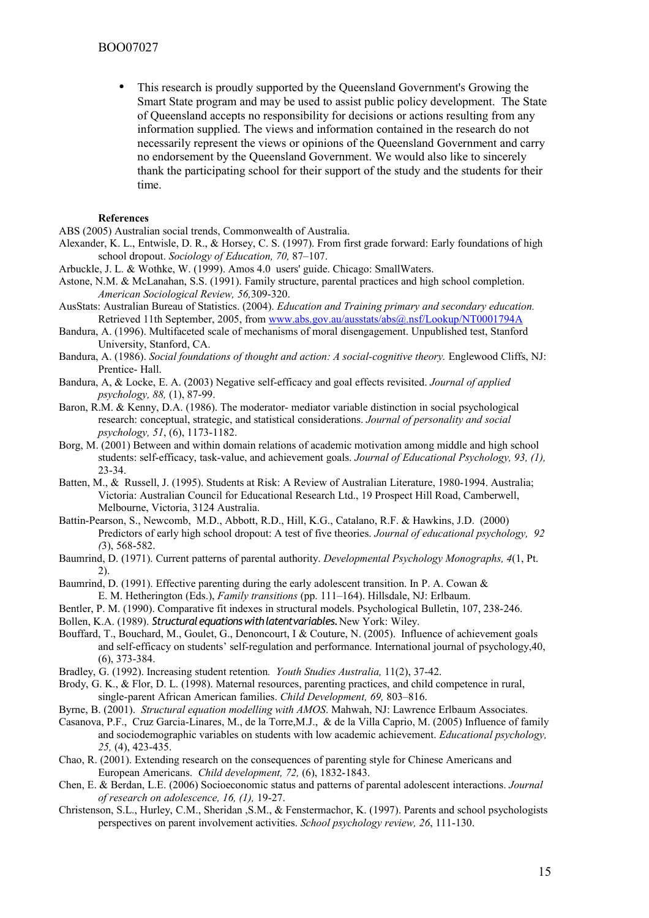• This research is proudly supported by the Queensland Government's Growing the Smart State program and may be used to assist public policy development. The State of Queensland accepts no responsibility for decisions or actions resulting from any information supplied. The views and information contained in the research do not necessarily represent the views or opinions of the Queensland Government and carry no endorsement by the Queensland Government. We would also like to sincerely thank the participating school for their support of the study and the students for their time.

#### **References**

ABS (2005) Australian social trends, Commonwealth of Australia.

- Alexander, K. L., Entwisle, D. R., & Horsey, C. S. (1997). From first grade forward: Early foundations of high school dropout. *Sociology of Education, 70,* 87–107.
- Arbuckle, J. L. & Wothke, W. (1999). Amos 4.0 users' guide. Chicago: SmallWaters.
- Astone, N.M. & McLanahan, S.S. (1991). Family structure, parental practices and high school completion. *American Sociological Review, 56,*309-320.
- AusStats: Australian Bureau of Statistics. (2004). *Education and Training primary and secondary education.* Retrieved 11th September, 2005, from [www.abs.gov.au/ausstats/abs@.nsf/Lookup/NT0001794A](http://www.abs.gov.au/ausstats/abs@.nsf/Lookup/NT0001794A)
- Bandura, A. (1996). Multifaceted scale of mechanisms of moral disengagement. Unpublished test, Stanford University, Stanford, CA.
- Bandura, A. (1986). *Social foundations of thought and action: A social-cognitive theory.* Englewood Cliffs, NJ: Prentice- Hall.
- Bandura, A, & Locke, E. A. (2003) Negative self-efficacy and goal effects revisited. *Journal of applied psychology, 88,* (1), 87-99.
- Baron, R.M. & Kenny, D.A. (1986). The moderator- mediator variable distinction in social psychological research: conceptual, strategic, and statistical considerations. *Journal of personality and social psychology, 51*, (6), 1173-1182.
- Borg, M. (2001) Between and within domain relations of academic motivation among middle and high school students: self-efficacy, task-value, and achievement goals. *Journal of Educational Psychology, 93, (1),* 23-34.
- Batten, M., & Russell, J. (1995). Students at Risk: A Review of Australian Literature, 1980-1994. Australia; Victoria: Australian Council for Educational Research Ltd., 19 Prospect Hill Road, Camberwell, Melbourne, Victoria, 3124 Australia.
- Battin-Pearson, S., Newcomb, M.D., Abbott, R.D., Hill, K.G., Catalano, R.F. & Hawkins, J.D. (2000) Predictors of early high school dropout: A test of five theories. *Journal of educational psychology, 92 (*3), 568-582.
- Baumrind, D. (1971). Current patterns of parental authority. *Developmental Psychology Monographs, 4*(1, Pt. 2).
- Baumrind, D. (1991). Effective parenting during the early adolescent transition. In P. A. Cowan  $\&$ E. M. Hetherington (Eds.), *Family transitions* (pp. 111–164). Hillsdale, NJ: Erlbaum.
- Bentler, P. M. (1990). Comparative fit indexes in structural models. Psychological Bulletin, 107, 238-246.
- Bollen, K.A. (1989). *Structural equations with latent variables.* New York: Wiley.
- Bouffard, T., Bouchard, M., Goulet, G., Denoncourt, I & Couture, N. (2005). Influence of achievement goals and self-efficacy on students' self-regulation and performance. International journal of psychology,40, (6), 373-384.
- Bradley, G. (1992). Increasing student retention*. Youth Studies Australia,* 11(2), 37-42.
- Brody, G. K., & Flor, D. L. (1998). Maternal resources, parenting practices, and child competence in rural, single-parent African American families. *Child Development, 69,* 803–816.
- Byrne, B. (2001). *Structural equation modelling with AMOS*. Mahwah, NJ: Lawrence Erlbaum Associates.
- Casanova, P.F., Cruz Garcia-Linares, M., de la Torre,M.J., & de la Villa Caprio, M. (2005) Influence of family and sociodemographic variables on students with low academic achievement. *Educational psychology, 25,* (4), 423-435.
- Chao, R. (2001). Extending research on the consequences of parenting style for Chinese Americans and European Americans. *Child development, 72,* (6), 1832-1843.
- Chen, E. & Berdan, L.E. (2006) Socioeconomic status and patterns of parental adolescent interactions. *Journal of research on adolescence, 16, (1),* 19-27.
- Christenson, S.L., Hurley, C.M., Sheridan ,S.M., & Fenstermachor, K. (1997). Parents and school psychologists perspectives on parent involvement activities. *School psychology review, 26*, 111-130.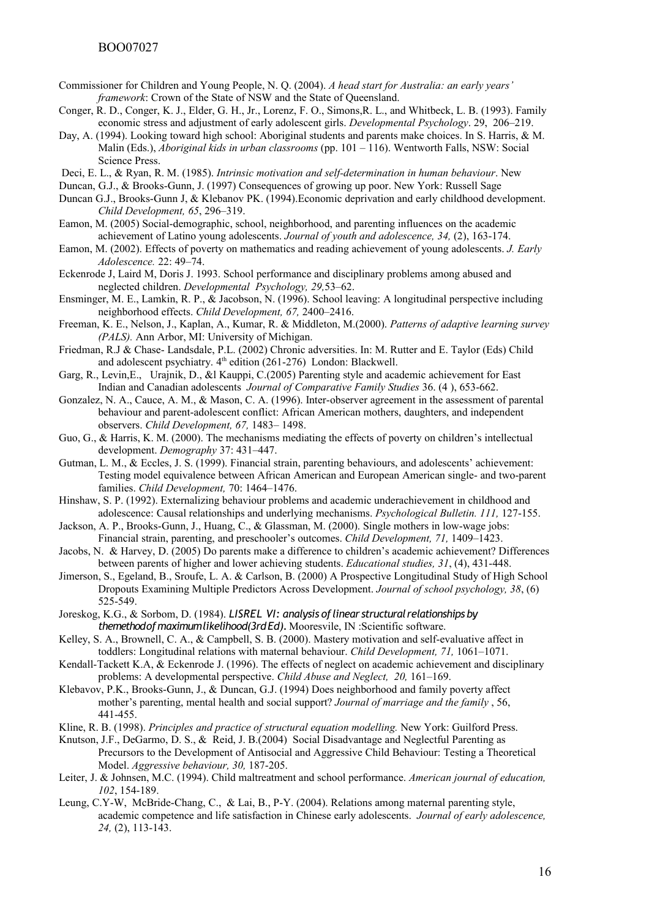- Commissioner for Children and Young People, N. Q. (2004). *A head start for Australia: an early years' framework*: Crown of the State of NSW and the State of Queensland.
- Conger, R. D., Conger, K. J., Elder, G. H., Jr., Lorenz, F. O., Simons,R. L., and Whitbeck, L. B. (1993). Family economic stress and adjustment of early adolescent girls. *Developmental Psychology*. 29, 206–219.
- Day, A. (1994). Looking toward high school: Aboriginal students and parents make choices. In S. Harris, & M. Malin (Eds.), *Aboriginal kids in urban classrooms* (pp. 101 – 116). Wentworth Falls, NSW: Social Science Press.
- Deci, E. L., & Ryan, R. M. (1985). *Intrinsic motivation and self-determination in human behaviour*. New
- Duncan, G.J., & Brooks-Gunn, J. (1997) Consequences of growing up poor. New York: Russell Sage
- Duncan G.J., Brooks-Gunn J, & Klebanov PK. (1994).Economic deprivation and early childhood development. *Child Development, 65*, 296–319.
- Eamon, M. (2005) Social-demographic, school, neighborhood, and parenting influences on the academic achievement of Latino young adolescents. *Journal of youth and adolescence, 34,* (2), 163-174.
- Eamon, M. (2002). Effects of poverty on mathematics and reading achievement of young adolescents. *J. Early Adolescence.* 22: 49–74.
- Eckenrode J, Laird M, Doris J. 1993. School performance and disciplinary problems among abused and neglected children. *Developmental Psychology, 29,*53–62.
- Ensminger, M. E., Lamkin, R. P., & Jacobson, N. (1996). School leaving: A longitudinal perspective including neighborhood effects. *Child Development, 67,* 2400–2416.
- Freeman, K. E., Nelson, J., Kaplan, A., Kumar, R. & Middleton, M.(2000). *Patterns of adaptive learning survey (PALS).* Ann Arbor, MI: University of Michigan.
- Friedman, R.J & Chase- Landsdale, P.L. (2002) Chronic adversities. In: M. Rutter and E. Taylor (Eds) Child and adolescent psychiatry.  $4<sup>th</sup>$  edition (261-276) London: Blackwell.
- Garg, R., Levin,E., Urajnik, D., &l Kauppi, C.(2005) Parenting style and academic achievement for East Indian and Canadian adolescents *Journal of Comparative Family Studies* 36. (4 ), 653-662.
- Gonzalez, N. A., Cauce, A. M., & Mason, C. A. (1996). Inter-observer agreement in the assessment of parental behaviour and parent-adolescent conflict: African American mothers, daughters, and independent observers. *Child Development, 67,* 1483– 1498.
- Guo, G., & Harris, K. M. (2000). The mechanisms mediating the effects of poverty on children's intellectual development. *Demography* 37: 431–447.
- Gutman, L. M., & Eccles, J. S. (1999). Financial strain, parenting behaviours, and adolescents' achievement: Testing model equivalence between African American and European American single- and two-parent families. *Child Development,* 70: 1464–1476.
- Hinshaw, S. P. (1992). Externalizing behaviour problems and academic underachievement in childhood and adolescence: Causal relationships and underlying mechanisms. *Psychological Bulletin. 111,* 127-155.
- Jackson, A. P., Brooks-Gunn, J., Huang, C., & Glassman, M. (2000). Single mothers in low-wage jobs: Financial strain, parenting, and preschooler's outcomes. *Child Development, 71,* 1409–1423.
- Jacobs, N. & Harvey, D. (2005) Do parents make a difference to children's academic achievement? Differences between parents of higher and lower achieving students. *Educational studies, 31*, (4), 431-448.
- Jimerson, S., Egeland, B., Sroufe, L. A. & Carlson, B. (2000) A Prospective Longitudinal Study of High School Dropouts Examining Multiple Predictors Across Development. *Journal of school psychology, 38*, (6) 525-549.
- Joreskog, K.G., & Sorbom, D. (1984). *LISREL VI: analysis of linear structural relationships by themethod of maximum likelihood(3rd Ed).* Mooresvile, IN :Scientific software.
- Kelley, S. A., Brownell, C. A., & Campbell, S. B. (2000). Mastery motivation and self-evaluative affect in toddlers: Longitudinal relations with maternal behaviour. *Child Development, 71,* 1061–1071.
- Kendall-Tackett K.A, & Eckenrode J. (1996). The effects of neglect on academic achievement and disciplinary problems: A developmental perspective. *Child Abuse and Neglect, 20,* 161–169.
- Klebavov, P.K., Brooks-Gunn, J., & Duncan, G.J. (1994) Does neighborhood and family poverty affect mother's parenting, mental health and social support? *Journal of marriage and the family* , 56, 441-455.
- Kline, R. B. (1998). *Principles and practice of structural equation modelling.* New York: Guilford Press.
- Knutson, J.F., DeGarmo, D. S., & Reid, J. B.(2004) Social Disadvantage and Neglectful Parenting as Precursors to the Development of Antisocial and Aggressive Child Behaviour: Testing a Theoretical Model. *Aggressive behaviour, 30,* 187-205.
- Leiter, J. & Johnsen, M.C. (1994). Child maltreatment and school performance. *American journal of education, 102*, 154-189.
- Leung, C.Y-W, McBride-Chang, C., & Lai, B., P-Y. (2004). Relations among maternal parenting style, academic competence and life satisfaction in Chinese early adolescents. *Journal of early adolescence, 24,* (2), 113-143.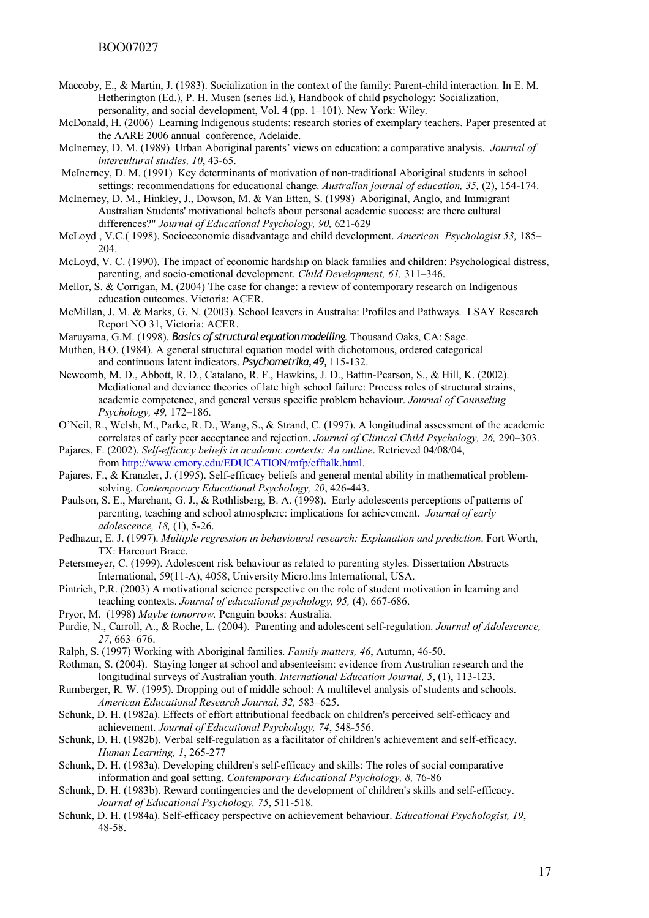- Maccoby, E., & Martin, J. (1983). Socialization in the context of the family: Parent-child interaction. In E. M. Hetherington (Ed.), P. H. Musen (series Ed.), Handbook of child psychology: Socialization, personality, and social development, Vol. 4 (pp. 1–101). New York: Wiley.
- McDonald, H. (2006) Learning Indigenous students: research stories of exemplary teachers. Paper presented at the AARE 2006 annual conference, Adelaide.
- McInerney, D. M. (1989) Urban Aboriginal parents' views on education: a comparative analysis. *Journal of intercultural studies, 10*, 43-65.
- McInerney, D. M. (1991) Key determinants of motivation of non-traditional Aboriginal students in school settings: recommendations for educational change. *Australian journal of education, 35,* (2), 154-174.
- McInerney, D. M., Hinkley, J., Dowson, M. & Van Etten, S. (1998) Aboriginal, Anglo, and Immigrant Australian Students' motivational beliefs about personal academic success: are there cultural differences?" *Journal of Educational Psychology, 90,* 621-629
- McLoyd , V.C.( 1998). Socioeconomic disadvantage and child development. *American Psychologist 53,* 185– 204
- McLoyd, V. C. (1990). The impact of economic hardship on black families and children: Psychological distress, parenting, and socio-emotional development. *Child Development, 61,* 311–346.
- Mellor, S. & Corrigan, M. (2004) The case for change: a review of contemporary research on Indigenous education outcomes. Victoria: ACER.
- McMillan, J. M. & Marks, G. N. (2003). School leavers in Australia: Profiles and Pathways. LSAY Research Report NO 31, Victoria: ACER.
- Maruyama, G.M. (1998). *Basics of structural equation modelling*. Thousand Oaks, CA: Sage.
- Muthen, B.O. (1984). A general structural equation model with dichotomous, ordered categorical and continuous latent indicators. *Psychometrika, 49,* 115-132.
- Newcomb, M. D., Abbott, R. D., Catalano, R. F., Hawkins, J. D., Battin-Pearson, S., & Hill, K. (2002). Mediational and deviance theories of late high school failure: Process roles of structural strains, academic competence, and general versus specific problem behaviour. *Journal of Counseling Psychology, 49,* 172–186.
- O'Neil, R., Welsh, M., Parke, R. D., Wang, S., & Strand, C. (1997). A longitudinal assessment of the academic correlates of early peer acceptance and rejection. *Journal of Clinical Child Psychology, 26,* 290–303.
- Pajares, F. (2002). *Self-efficacy beliefs in academic contexts: An outline*. Retrieved 04/08/04, from [http://www.emory.edu/EDUCATION/mfp/efftalk.html.](http://www.emory.edu/EDUCATION/mfp/efftalk.html)
- Pajares, F., & Kranzler, J. (1995). Self-efficacy beliefs and general mental ability in mathematical problemsolving. *Contemporary Educational Psychology, 20*, 426-443.
- Paulson, S. E., Marchant, G. J., & Rothlisberg, B. A. (1998). Early adolescents perceptions of patterns of parenting, teaching and school atmosphere: implications for achievement. *Journal of early adolescence, 18,* (1), 5-26.
- Pedhazur, E. J. (1997). *Multiple regression in behavioural research: Explanation and prediction*. Fort Worth, TX: Harcourt Brace.
- Petersmeyer, C. (1999). Adolescent risk behaviour as related to parenting styles. Dissertation Abstracts International, 59(11-A), 4058, University Micro.lms International, USA.
- Pintrich, P.R. (2003) A motivational science perspective on the role of student motivation in learning and teaching contexts. *Journal of educational psychology, 95,* (4), 667-686.
- Pryor, M. (1998) *Maybe tomorrow.* Penguin books: Australia.
- Purdie, N., Carroll, A., & Roche, L. (2004). Parenting and adolescent self-regulation. *Journal of Adolescence, 27*, 663–676.
- Ralph, S. (1997) Working with Aboriginal families. *Family matters, 46*, Autumn, 46-50.
- Rothman, S. (2004). Staying longer at school and absenteeism: evidence from Australian research and the longitudinal surveys of Australian youth. *International Education Journal, 5*, (1), 113-123.
- Rumberger, R. W. (1995). Dropping out of middle school: A multilevel analysis of students and schools. *American Educational Research Journal, 32,* 583–625.
- Schunk, D. H. (1982a). Effects of effort attributional feedback on children's perceived self-efficacy and achievement. *Journal of Educational Psychology, 74*, 548-556.
- Schunk, D. H. (1982b). Verbal self-regulation as a facilitator of children's achievement and self-efficacy. *Human Learning, 1*, 265-277
- Schunk, D. H. (1983a). Developing children's self-efficacy and skills: The roles of social comparative information and goal setting. *Contemporary Educational Psychology, 8,* 76-86
- Schunk, D. H. (1983b). Reward contingencies and the development of children's skills and self-efficacy. *Journal of Educational Psychology, 75*, 511-518.
- Schunk, D. H. (1984a). Self-efficacy perspective on achievement behaviour. *Educational Psychologist, 19*, 48-58.